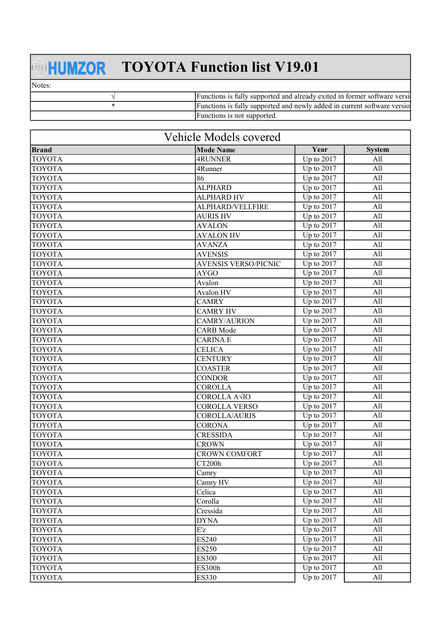## **HUMZOR** TOYOTA Function list V19.01

Notes:

| Functions is fully supported and already exited in former software versil |
|---------------------------------------------------------------------------|
| Functions is fully supported and newly added in current software versio   |
| Hunctions is not supported.                                               |

| Vehicle Models covered |                             |                                |               |
|------------------------|-----------------------------|--------------------------------|---------------|
| <b>Brand</b>           | <b>Mode Name</b>            | Year                           | <b>System</b> |
| <b>TOYOTA</b>          | 4RUNNER                     | Up to 2017                     | All           |
| <b>TOYOTA</b>          | 4Runner                     | Up to 2017                     | All           |
| <b>TOYOTA</b>          | 86                          | Up to 2017                     | All           |
| <b>TOYOTA</b>          | <b>ALPHARD</b>              | Up to 2017                     | All           |
| <b>TOYOTA</b>          | <b>ALPHARD HV</b>           | Up to 2017                     | All           |
| <b>TOYOTA</b>          | ALPHARD/VELLFIRE            | Up to 2017                     | All           |
| <b>TOYOTA</b>          | <b>AURIS HV</b>             | Up to 2017                     | All           |
| <b>TOYOTA</b>          | <b>AVALON</b>               | Up to 2017                     | All           |
| <b>TOYOTA</b>          | <b>AVALON HV</b>            | Up to 2017                     | All           |
| <b>TOYOTA</b>          | <b>AVANZA</b>               | Up to 2017                     | All           |
| <b>TOYOTA</b>          | <b>AVENSIS</b>              | Up to 2017                     | All           |
| <b>TOYOTA</b>          | <b>AVENSIS VERSO/PICNIC</b> | Up to 2017                     | All           |
| <b>TOYOTA</b>          | <b>AYGO</b>                 | Up to 2017                     | All           |
| <b>TOYOTA</b>          | Avalon                      | Up to 2017                     | All           |
| <b>TOYOTA</b>          | Avalon HV                   | Up to 2017                     | All           |
| <b>TOYOTA</b>          | <b>CAMRY</b>                | Up to 2017                     | All           |
| <b>TOYOTA</b>          | <b>CAMRY HV</b>             | Up to 2017                     | All           |
| <b>TOYOTA</b>          | CAMRY/AURION                | Up to 2017                     | All           |
| <b>TOYOTA</b>          | <b>CARB</b> Mode            | $\overline{\text{Up to}}$ 2017 | All           |
| <b>TOYOTA</b>          | <b>CARINAE</b>              | Up to 2017                     | All           |
| <b>TOYOTA</b>          | <b>CELICA</b>               | Up to 2017                     | All           |
| <b>TOYOTA</b>          | <b>CENTURY</b>              | Up to 2017                     | All           |
| <b>TOYOTA</b>          | <b>COASTER</b>              | Up to 2017                     | All           |
| <b>TOYOTA</b>          | <b>CONDOR</b>               | $\overline{Up}$ to 2017        | All           |
| <b>TOYOTA</b>          | <b>COROLLA</b>              | Up to 2017                     | All           |
| <b>TOYOTA</b>          | COROLLA A√IO                | $\overline{Up}$ to 2017        | All           |
| <b>TOYOTA</b>          | COROLLA VERSO               | Up to 2017                     | All           |
| <b>TOYOTA</b>          | COROLLA/AURIS               | Up to 2017                     | All           |
| <b>TOYOTA</b>          | <b>CORONA</b>               | Up to 2017                     | All           |
| <b>TOYOTA</b>          | <b>CRESSIDA</b>             | Up to 2017                     | All           |
| <b>TOYOTA</b>          | <b>CROWN</b>                | Up to 2017                     | All           |
| <b>TOYOTA</b>          | <b>CROWN COMFORT</b>        | Up to 2017                     | All           |
| <b>TOYOTA</b>          | CT200h                      | Up to $2017$                   | All           |
| <b>TOYOTA</b>          | Camry                       | Up to 2017                     | All           |
| <b>TOYOTA</b>          | Camry HV                    | Up to 2017                     | All           |
| <b>TOYOTA</b>          | Celica                      | $\overline{Up}$ to 2017        | All           |
| <b>TOYOTA</b>          | Corolla                     | Up to 2017                     | All           |
| <b>TOYOTA</b>          | Cressida                    | Up to 2017                     | All           |
| <b>TOYOTA</b>          | <b>DYNA</b>                 | Up to 2017                     | All           |
| <b>TOYOTA</b>          | Ez                          | Up to 2017                     | All           |
| <b>TOYOTA</b>          | <b>ES240</b>                | Up to 2017                     | All           |
| <b>TOYOTA</b>          | <b>ES250</b>                | Up to 2017                     | All           |
| <b>TOYOTA</b>          | <b>ES300</b>                | $\overline{Up}$ to 2017        | All           |
| <b>TOYOTA</b>          | <b>ES300h</b>               | Up to 2017                     | All           |
| <b>TOYOTA</b>          | <b>ES330</b>                | Up to 2017                     | All           |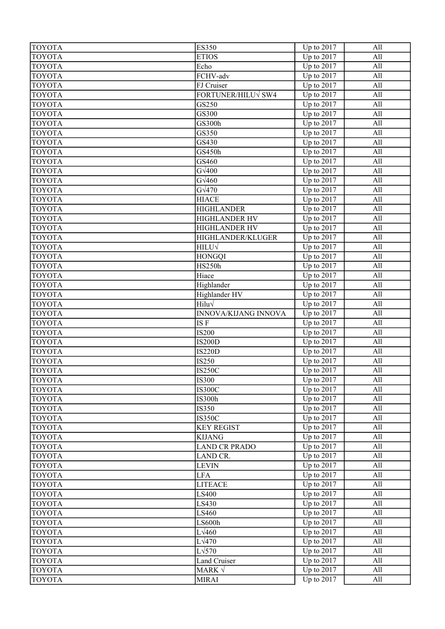| <b>TOYOTA</b>                  | <b>ES350</b>                   | Up to 2017                          | All        |
|--------------------------------|--------------------------------|-------------------------------------|------------|
| <b>TOYOTA</b>                  | <b>ETIOS</b>                   | Up to 2017                          | All        |
| <b>TOYOTA</b>                  | Echo                           | Up to 2017                          | All        |
| <b>TOYOTA</b>                  | FCHV-adv                       | Up to 2017                          | All        |
| <b>TOYOTA</b>                  | FJ Cruiser                     | Up to 2017                          | All        |
| <b>TOYOTA</b>                  | FORTUNER/HILUV SW4             | Up to 2017                          | All        |
| <b>TOYOTA</b>                  | GS250                          | Up to 2017                          | All        |
| <b>TOYOTA</b>                  | GS300                          | Up to 2017                          | All        |
| <b>TOYOTA</b>                  | GS300h                         | Up to 2017                          | All        |
| <b>TOYOTA</b>                  | GS350                          | $\overline{Up}$ to 2017             | All        |
| <b>TOYOTA</b>                  | GS430                          | Up to 2017                          | All        |
| <b>TOYOTA</b>                  | GS450h                         | Up to 2017                          | All        |
| <b>TOYOTA</b>                  | GS460                          | Up to 2017                          | All        |
| <b>TOYOTA</b>                  | $G\sqrt{400}$                  | Up to 2017                          | All        |
| <b>TOYOTA</b>                  | $G\sqrt{460}$                  | Up to 2017                          | All        |
| <b>TOYOTA</b>                  | $G\sqrt{470}$                  | Up to 2017                          | All        |
| <b>TOYOTA</b>                  | <b>HIACE</b>                   | Up to 2017                          | All        |
| <b>TOYOTA</b>                  | <b>HIGHLANDER</b>              | $\overline{\text{Up}}$ to 2017      | All        |
| <b>TOYOTA</b>                  | <b>HIGHLANDER HV</b>           | $\overline{Up}$ to 2017             | All        |
| <b>TOYOTA</b>                  | HIGHLANDER HV                  | $\overline{Up}$ to 2017             | All        |
| <b>TOYOTA</b>                  | HIGHLANDER/KLUGER              | Up to 2017                          | All        |
| <b>TOYOTA</b>                  | HILU√                          | Up to 2017                          | All        |
| <b>TOYOTA</b>                  | <b>HONGQI</b>                  | Up to 2017                          | All        |
| <b>TOYOTA</b>                  | <b>HS250h</b>                  | $\overline{Up}$ to 2017             | All        |
| <b>TOYOTA</b>                  | Hiace                          | Up to 2017                          | All        |
| <b>TOYOTA</b>                  | Highlander                     | $\overline{U}$ p to 2017            | All        |
| <b>TOYOTA</b>                  | Highlander HV                  | Up to 2017                          | All        |
| <b>TOYOTA</b>                  | $Hilu\sqrt$                    | Up to 2017                          | All        |
| <b>TOYOTA</b>                  | INNOVA/KIJANG INNOVA           | Up to $2017$                        | All        |
| <b>TOYOTA</b>                  | ISF                            | Up to 2017                          | All        |
| <b>TOYOTA</b>                  | <b>IS200</b>                   | Up to 2017                          | All        |
| <b>TOYOTA</b>                  | <b>IS200D</b>                  | Up to 2017                          | All        |
| <b>TOYOTA</b>                  | <b>IS220D</b>                  | Up to 2017                          | All        |
| <b>TOYOTA</b>                  | IS250                          | $\overline{Up}$ to 2017             | All        |
| <b>TOYOTA</b>                  | <b>IS250C</b>                  | Up to 2017                          | All        |
| <b>TOYOTA</b>                  | <b>IS300</b>                   | Up to $2017$                        | All        |
| <b>TOYOTA</b>                  | <b>IS300C</b>                  | Up to 2017                          | All        |
| <b>TOYOTA</b>                  | <b>IS300h</b>                  | Up to $2017$                        | All        |
| <b>TOYOTA</b>                  | IS350                          | Up to $2017$                        | All        |
| <b>TOYOTA</b>                  | <b>IS350C</b>                  | Up to 2017                          | All        |
| <b>TOYOTA</b>                  | <b>KEY REGIST</b>              | Up to 2017                          | All        |
| <b>TOYOTA</b>                  | <b>KIJANG</b>                  | Up to 2017                          | All        |
| <b>TOYOTA</b>                  | <b>LAND CR PRADO</b>           | $\overline{U}$ <sub>p</sub> to 2017 | All        |
| <b>TOYOTA</b>                  | LAND CR.                       | $\overline{\text{Up to}}$ 2017      | All        |
| <b>TOYOTA</b>                  | <b>LEVIN</b>                   | Up to $2017$                        | All        |
| <b>TOYOTA</b>                  | <b>LFA</b>                     | Up to 2017                          | All        |
| <b>TOYOTA</b>                  | <b>LITEACE</b>                 | Up to $2017$                        | All        |
| <b>TOYOTA</b>                  | LS400                          | Up to 2017                          | All        |
| <b>TOYOTA</b>                  | LS430                          | $\overline{Up}$ to 2017             | All        |
| <b>TOYOTA</b>                  | LS460                          | Up to $2017$                        | All        |
| <b>TOYOTA</b>                  | LS600h                         | $\overline{Up}$ to 2017             | All        |
| <b>TOYOTA</b>                  | $L\sqrt{460}$                  | $\overline{Up}$ to 2017             | All        |
| <b>TOYOTA</b>                  | $L\sqrt{470}$<br>$L\sqrt{570}$ | Up to 2017                          | All<br>All |
| <b>TOYOTA</b>                  |                                | Up to 2017<br>Up to $2017$          | All        |
| <b>TOYOTA</b><br><b>TOYOTA</b> | Land Cruiser<br>MARK $\sqrt{}$ | Up to 2017                          | All        |
| <b>TOYOTA</b>                  | <b>MIRAI</b>                   | $\overline{U}$ <sub>p</sub> to 2017 | All        |
|                                |                                |                                     |            |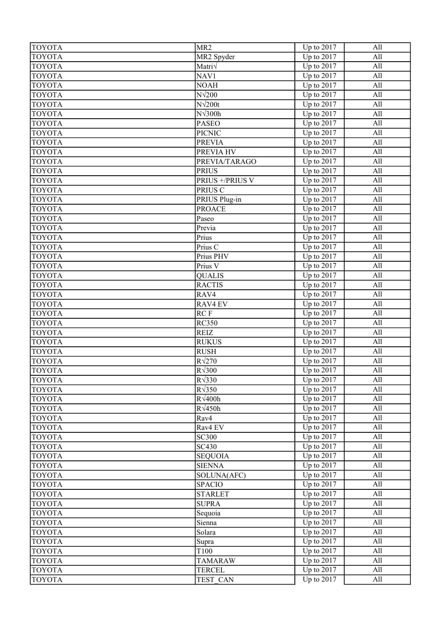| <b>TOYOTA</b> | MR <sub>2</sub>  | Up to 2017                     | All |
|---------------|------------------|--------------------------------|-----|
| <b>TOYOTA</b> | MR2 Spyder       | $\overline{\text{Up to 2017}}$ | All |
| <b>TOYOTA</b> | Matri $\sqrt$    | Up to 2017                     | All |
| <b>TOYOTA</b> | NAV1             | Up to 2017                     | All |
| <b>TOYOTA</b> | <b>NOAH</b>      | Up to 2017                     | All |
| <b>TOYOTA</b> | $N\sqrt{200}$    | Up to 2017                     | All |
| <b>TOYOTA</b> | $N\sqrt{200t}$   | Up to 2017                     | All |
| <b>TOYOTA</b> | $N\sqrt{300h}$   | Up to 2017                     | All |
| <b>TOYOTA</b> | <b>PASEO</b>     | Up to 2017                     | All |
| <b>TOYOTA</b> | <b>PICNIC</b>    | $\overline{Up}$ to 2017        | All |
| <b>TOYOTA</b> | <b>PREVIA</b>    | Up to 2017                     | All |
| <b>TOYOTA</b> | PREVIA HV        | Up to 2017                     | All |
| <b>TOYOTA</b> | PREVIA/TARAGO    | Up to 2017                     | All |
| <b>TOYOTA</b> | <b>PRIUS</b>     | Up to 2017                     | All |
| <b>TOYOTA</b> | PRIUS +/PRIUS V  | Up to 2017                     | All |
| <b>TOYOTA</b> | PRIUS C          | Up to 2017                     | All |
| <b>TOYOTA</b> | PRIUS Plug-in    | Up to 2017                     | All |
| <b>TOYOTA</b> | <b>PROACE</b>    | Up to 2017                     | All |
| <b>TOYOTA</b> | Paseo            | $\overline{Up}$ to 2017        | All |
| <b>TOYOTA</b> | Previa           | $\overline{Up}$ to 2017        | All |
| <b>TOYOTA</b> | Prius            | Up to 2017                     | All |
| <b>TOYOTA</b> | Prius C          | Up to 2017                     | All |
| <b>TOYOTA</b> | Prius PHV        | Up to 2017                     | All |
| <b>TOYOTA</b> | Prius V          | Up to 2017                     | All |
| <b>TOYOTA</b> | <b>QUALIS</b>    | Up to 2017                     | All |
| <b>TOYOTA</b> | <b>RACTIS</b>    | Up to 2017                     | All |
| <b>TOYOTA</b> | RAV4             | Up to 2017                     | All |
| <b>TOYOTA</b> | <b>RAV4 EV</b>   | Up to 2017                     | All |
| <b>TOYOTA</b> | RC F             | Up to 2017                     | All |
| <b>TOYOTA</b> | <b>RC350</b>     | Up to 2017                     | All |
| <b>TOYOTA</b> | <b>REIZ</b>      | Up to 2017                     | All |
| <b>TOYOTA</b> | <b>RUKUS</b>     | Up to 2017                     | All |
| <b>TOYOTA</b> | <b>RUSH</b>      | Up to 2017                     | All |
| <b>TOYOTA</b> | $R\sqrt{270}$    | $\overline{\text{Up to 2017}}$ | All |
| <b>TOYOTA</b> | $R\sqrt{300}$    | Up to 2017                     | All |
| <b>TOYOTA</b> | $R\sqrt{330}$    | Up to $2017$                   | All |
| <b>TOYOTA</b> | $R\sqrt{350}$    | Up to 2017                     | All |
| <b>TOYOTA</b> | $R\sqrt{400h}$   | Up to 2017                     | All |
| <b>TOYOTA</b> | $R\sqrt{450h}$   | Up to $2017$                   | All |
| <b>TOYOTA</b> | Rav4             | Up to 2017                     | All |
| <b>TOYOTA</b> | Rav4 EV          | Up to 2017                     | All |
| <b>TOYOTA</b> | <b>SC300</b>     | Up to 2017                     | All |
| <b>TOYOTA</b> | SC430            | $\overline{\text{Up}}$ to 2017 | All |
| <b>TOYOTA</b> | <b>SEQUOIA</b>   | $\overline{\text{Up to}}$ 2017 | All |
| <b>TOYOTA</b> | <b>SIENNA</b>    | $\overline{\text{Up to}}$ 2017 | All |
| <b>TOYOTA</b> | SOLUNA(AFC)      | Up to 2017                     | All |
| <b>TOYOTA</b> | <b>SPACIO</b>    | Up to $2017$                   | All |
| <b>TOYOTA</b> | <b>STARLET</b>   | Up to 2017                     | All |
| <b>TOYOTA</b> | <b>SUPRA</b>     | Up to 2017                     | All |
| <b>TOYOTA</b> | Sequoia          | $\overline{Up}$ to 2017        | All |
| <b>TOYOTA</b> | Sienna           | Up to 2017                     | All |
| <b>TOYOTA</b> | Solara           | $\overline{Up}$ to 2017        | All |
| <b>TOYOTA</b> | Supra            | Up to $2017$                   | All |
| <b>TOYOTA</b> | T <sub>100</sub> | Up to 2017                     | All |
| <b>TOYOTA</b> | <b>TAMARAW</b>   | Up to 2017                     | All |
| <b>TOYOTA</b> | <b>TERCEL</b>    | Up to 2017                     | All |
| <b>TOYOTA</b> | TEST CAN         | Up to 2017                     | All |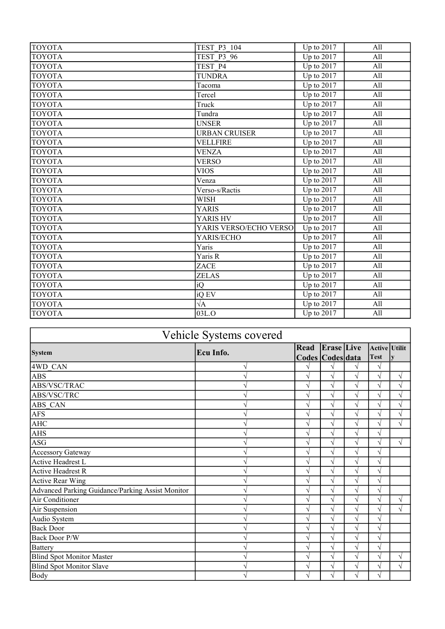| <b>TOYOTA</b> | TEST P3 104            | Up to $2017$                        | All |
|---------------|------------------------|-------------------------------------|-----|
| <b>TOYOTA</b> | <b>TEST P3 96</b>      | Up to 2017                          | All |
| <b>TOYOTA</b> | TEST P4                | Up to $2017$                        | All |
| <b>TOYOTA</b> | <b>TUNDRA</b>          | Up to 2017                          | All |
| <b>TOYOTA</b> | Tacoma                 | Up to 2017                          | All |
| <b>TOYOTA</b> | Tercel                 | Up to 2017                          | All |
| <b>TOYOTA</b> | Truck                  | Up to $2017$                        | All |
| <b>TOYOTA</b> | Tundra                 | Up to $2017$                        | All |
| <b>TOYOTA</b> | <b>UNSER</b>           | Up to $2017$                        | All |
| <b>TOYOTA</b> | <b>URBAN CRUISER</b>   | Up to 2017                          | All |
| <b>TOYOTA</b> | <b>VELLFIRE</b>        | Up to 2017                          | All |
| <b>TOYOTA</b> | <b>VENZA</b>           | Up to $2017$                        | All |
| <b>TOYOTA</b> | <b>VERSO</b>           | $\overline{U}$ p to 2017            | All |
| <b>TOYOTA</b> | <b>VIOS</b>            | Up to 2017                          | All |
| <b>TOYOTA</b> | Venza                  | Up to $2017$                        | All |
| <b>TOYOTA</b> | Verso-s/Ractis         | Up to 2017                          | All |
| <b>TOYOTA</b> | <b>WISH</b>            | Up to 2017                          | All |
| <b>TOYOTA</b> | <b>YARIS</b>           | Up to $2017$                        | All |
| <b>TOYOTA</b> | YARIS HV               | Up to 2017                          | All |
| <b>TOYOTA</b> | YARIS VERSO/ECHO VERSO | Up to 2017                          | All |
| <b>TOYOTA</b> | YARIS/ECHO             | Up to $2017$                        | All |
| <b>TOYOTA</b> | Yaris                  | Up to $2017$                        | All |
| <b>TOYOTA</b> | Yaris R                | Up to $2017$                        | All |
| <b>TOYOTA</b> | ZACE                   | Up to $2017$                        | All |
| <b>TOYOTA</b> | <b>ZELAS</b>           | Up to $2017$                        | All |
| <b>TOYOTA</b> | iQ                     | $\overline{U}$ p to 2017            | All |
| <b>TOYOTA</b> | iQ EV                  | $\overline{U}$ <sub>p</sub> to 2017 | All |
| <b>TOYOTA</b> | $\sqrt{\mathrm{A}}$    | Up to 2017                          | All |
| <b>TOYOTA</b> | 03L.O                  | Up to 2017                          | All |

| Vehicle Systems covered                          |           |                          |                   |   |                              |           |
|--------------------------------------------------|-----------|--------------------------|-------------------|---|------------------------------|-----------|
| <b>System</b>                                    | Ecu Info. | Read<br>Codes Codes data | <b>Erase</b> Live |   | Active Utilit<br><b>Test</b> |           |
| 4WD CAN                                          |           | N                        | V                 |   | $\sqrt{}$                    |           |
| <b>ABS</b>                                       | ٦         | $\sqrt{}$                | $\sqrt{}$         | V | $\sqrt{}$                    | V         |
| ABS/VSC/TRAC                                     | ٦         | N                        | V                 |   | $\sqrt{}$                    | V         |
| ABS/VSC/TRC                                      | V         | $\sqrt{}$                | V                 | V | N                            | $\sqrt{}$ |
| ABS CAN                                          | V         | $\sqrt{}$                | $\sqrt{}$         | V | $\sqrt{2}$                   | $\sqrt{}$ |
| <b>AFS</b>                                       |           | $\sqrt{}$                | V                 | V | N                            | V         |
| AHC                                              | ٦         | $\sqrt{}$                | V                 | V | $\sqrt{}$                    | V         |
| <b>AHS</b>                                       |           | $\sqrt{2}$               | V                 |   | $\sqrt{}$                    |           |
| ASG                                              | ٦         | $\sqrt{}$                | V                 | V | N                            | V         |
| <b>Accessory Gateway</b>                         |           | $\sqrt{}$                | V                 | V | $\sqrt{2}$                   |           |
| Active Headrest L                                |           | V                        | V                 | V | $\sqrt{}$                    |           |
| Active Headrest R                                |           | $\sqrt{}$                | V                 |   | V                            |           |
| Active Rear Wing                                 |           | N                        | V                 |   | $\mathcal{L}$                |           |
| Advanced Parking Guidance/Parking Assist Monitor |           | $\sqrt{}$                | V                 |   | N                            |           |
| Air Conditioner                                  |           | $\sqrt{}$                | $\sqrt{}$         |   | $\sqrt{}$                    | $\sqrt{}$ |
| Air Suspension                                   |           | $\sqrt{}$                | V                 | V | $\sqrt{}$                    | V         |
| Audio System                                     |           | N                        | V                 | V | $\sqrt{}$                    |           |
| <b>Back Door</b>                                 |           | $\sqrt{}$                | V                 |   | $\sqrt{}$                    |           |
| Back Door P/W                                    | ٦         | $\sqrt{}$                | V                 | ٦ | $\sqrt{}$                    |           |
| Battery                                          |           | $\sqrt{}$                | V                 | V | $\sqrt{}$                    |           |
| <b>Blind Spot Monitor Master</b>                 |           | V                        | V                 | V | N                            | V         |
| <b>Blind Spot Monitor Slave</b>                  |           | V                        | V                 | V | V                            | V         |
| Body                                             |           | $\sqrt{ }$               | V                 | V | $\sqrt{}$                    |           |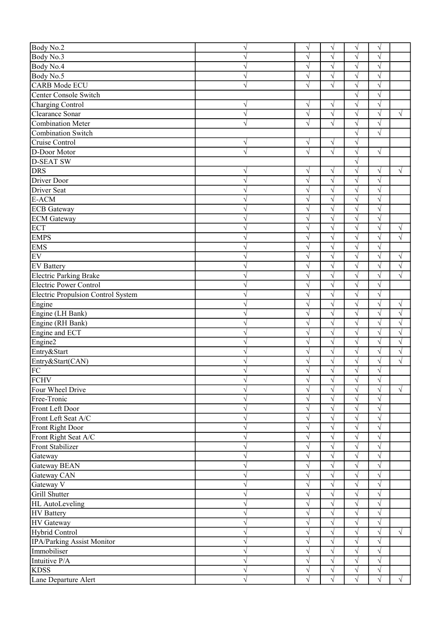| Body No.2                          | $\sqrt{ }$ | $\sqrt{}$  | $\sqrt{}$             | $\sqrt{}$             | $\sqrt{}$  |            |
|------------------------------------|------------|------------|-----------------------|-----------------------|------------|------------|
| Body No.3                          | V          | $\sqrt{}$  | $\sqrt{}$             | $\sqrt{}$             | $\sqrt{}$  |            |
| Body No.4                          | V          | $\sqrt{}$  | $\sqrt{}$             | $\sqrt{}$             | $\sqrt{ }$ |            |
| Body No.5                          | $\sqrt{}$  | $\sqrt{ }$ | $\sqrt{}$             | $\sqrt{}$             | $\sqrt{}$  |            |
| <b>CARB</b> Mode ECU               | $\sqrt{}$  | $\sqrt{ }$ | $\sqrt{}$             | $\sqrt{}$             | $\sqrt{}$  |            |
| Center Console Switch              |            |            |                       | $\overline{\sqrt{} }$ | $\sqrt{}$  |            |
| Charging Control                   | V          | $\sqrt{}$  | V                     | $\sqrt{}$             | $\sqrt{}$  |            |
| Clearance Sonar                    | $\sqrt{ }$ | $\sqrt{ }$ | $\sqrt{}$             | $\sqrt{}$             | $\sqrt{}$  | $\sqrt{ }$ |
| Combination Meter                  | $\sqrt{}$  | $\sqrt{ }$ | $\sqrt{}$             | $\sqrt{}$             | $\sqrt{}$  |            |
| <b>Combination Switch</b>          |            |            |                       | $\sqrt{}$             | $\sqrt{}$  |            |
| Cruise Control                     | $\sqrt{}$  | $\sqrt{}$  | V                     | $\sqrt{}$             |            |            |
| D-Door Motor                       | $\sqrt{}$  | $\sqrt{ }$ | $\sqrt{}$             | $\sqrt{}$             | $\sqrt{}$  |            |
| <b>D-SEAT SW</b>                   |            |            |                       | $\sqrt{}$             |            |            |
| <b>DRS</b>                         | $\sqrt{}$  | $\sqrt{}$  | $\sqrt{}$             | $\overline{\sqrt{} }$ | $\sqrt{}$  | $\sqrt{}$  |
| Driver Door                        | $\sqrt{ }$ | $\sqrt{ }$ | $\sqrt{}$             | $\sqrt{}$             | $\sqrt{ }$ |            |
| Driver Seat                        | $\sqrt{ }$ | $\sqrt{ }$ | $\sqrt{}$             | $\sqrt{}$             | $\sqrt{}$  |            |
| E-ACM                              | $\sqrt{}$  | $\sqrt{}$  | $\sqrt{}$             | $\sqrt{}$             | $\sqrt{}$  |            |
| <b>ECB</b> Gateway                 | $\sqrt{}$  | $\sqrt{}$  | $\sqrt{}$             | $\overline{\sqrt{} }$ | $\sqrt{}$  |            |
| <b>ECM</b> Gateway                 | $\sqrt{}$  | $\sqrt{ }$ | $\sqrt{}$             | $\sqrt{}$             | $\sqrt{}$  |            |
| <b>ECT</b>                         | $\sqrt{}$  | $\sqrt{}$  | $\sqrt{}$             | $\sqrt{}$             | $\sqrt{}$  | $\sqrt{}$  |
| <b>EMPS</b>                        | $\sqrt{}$  | $\sqrt{ }$ | $\sqrt{}$             | $\sqrt{}$             | $\sqrt{ }$ | $\sqrt{}$  |
| <b>EMS</b>                         | $\sqrt{}$  | $\sqrt{2}$ | $\overline{\sqrt{} }$ | $\overline{\sqrt{} }$ | $\sqrt{}$  |            |
| $E$ V                              | $\sqrt{ }$ | $\sqrt{ }$ | $\sqrt{}$             | $\sqrt{}$             | $\sqrt{}$  | $\sqrt{}$  |
| <b>EV</b> Battery                  | $\sqrt{ }$ | $\sqrt{ }$ | $\sqrt{}$             | $\sqrt{}$             | $\sqrt{ }$ | $\sqrt{}$  |
| <b>Electric Parking Brake</b>      | $\sqrt{ }$ | $\sqrt{ }$ | $\sqrt{}$             | $\sqrt{}$             | $\sqrt{}$  | $\sqrt{}$  |
| <b>Electric Power Control</b>      | $\sqrt{}$  | $\sqrt{}$  | $\sqrt{}$             | $\sqrt{}$             | $\sqrt{}$  |            |
| Electric Propulsion Control System | $\sqrt{}$  | $\sqrt{}$  | $\sqrt{}$             | $\sqrt{}$             | $\sqrt{}$  |            |
| Engine                             | $\sqrt{ }$ | $\sqrt{}$  | $\sqrt{}$             | $\sqrt{}$             | $\sqrt{}$  | $\sqrt{}$  |
| Engine (LH Bank)                   | $\sqrt{ }$ | $\sqrt{ }$ | $\sqrt{}$             | $\sqrt{}$             | $\sqrt{}$  | $\sqrt{}$  |
| Engine (RH Bank)                   | $\sqrt{ }$ | $\sqrt{}$  | $\sqrt{}$             | $\sqrt{}$             | $\sqrt{}$  | $\sqrt{}$  |
| Engine and ECT                     | $\sqrt{ }$ | $\sqrt{ }$ | $\sqrt{}$             | $\sqrt{}$             | $\sqrt{}$  | $\sqrt{}$  |
| Engine2                            | $\sqrt{ }$ | $\sqrt{}$  | $\sqrt{}$             | $\sqrt{}$             | $\sqrt{}$  | $\sqrt{}$  |
| Entry&Start                        | $\sqrt{}$  | $\sqrt{ }$ | $\sqrt{}$             | $\sqrt{}$             | $\sqrt{}$  | $\sqrt{ }$ |
| Entry&Start(CAN)                   | V          | $\sqrt{}$  | V                     | $\sqrt{}$             | $\sqrt{}$  | $\sqrt{}$  |
| FC                                 |            | $\sqrt{}$  | V                     | $\sqrt{}$             | $\sqrt{}$  |            |
| FCHV                               | V          | V          | V                     | $\sqrt{}$             | V          |            |
| Four Wheel Drive                   | $\sqrt{}$  | $\sqrt{}$  | $\sqrt{}$             | $\sqrt{}$             | $\sqrt{}$  | $\sqrt{}$  |
| Free-Tronic                        | $\sqrt{}$  | $\sqrt{}$  | $\sqrt{}$             | $\sqrt{}$             | $\sqrt{}$  |            |
| Front Left Door                    | $\sqrt{ }$ | $\sqrt{}$  | $\sqrt{}$             | $\sqrt{}$             | $\sqrt{}$  |            |
| Front Left Seat A/C                | $\sqrt{}$  | $\sqrt{}$  | $\sqrt{}$             | $\sqrt{}$             | $\sqrt{}$  |            |
| Front Right Door                   | $\sqrt{}$  | $\sqrt{}$  | $\sqrt{}$             | $\sqrt{}$             | $\sqrt{}$  |            |
| Front Right Seat A/C               | $\sqrt{}$  | $\sqrt{}$  | $\sqrt{}$             | $\sqrt{}$             | $\sqrt{}$  |            |
| Front Stabilizer                   | $\sqrt{ }$ | $\sqrt{}$  | V                     | $\sqrt{}$             | $\sqrt{}$  |            |
| Gateway                            | $\sqrt{}$  | $\sqrt{ }$ | $\sqrt{}$             | $\sqrt{}$             | $\sqrt{ }$ |            |
| Gateway BEAN                       | $\sqrt{}$  | $\sqrt{2}$ | $\sqrt{}$             | $\sqrt{}$             | $\sqrt{ }$ |            |
| Gateway CAN                        | $\sqrt{}$  | $\sqrt{2}$ | $\sqrt{}$             | $\sqrt{}$             | $\sqrt{}$  |            |
| Gateway V                          | $\sqrt{ }$ | $\sqrt{2}$ | $\sqrt{}$             | $\overline{\sqrt{} }$ | $\sqrt{}$  |            |
| Grill Shutter                      | $\sqrt{}$  | $\sqrt{}$  | $\sqrt{}$             | $\sqrt{}$             | $\sqrt{}$  |            |
| <b>HL</b> AutoLeveling             | $\sqrt{}$  | $\sqrt{}$  | $\sqrt{}$             | $\sqrt{}$             | $\sqrt{}$  |            |
| <b>HV</b> Battery                  | $\sqrt{}$  | $\sqrt{}$  | $\sqrt{}$             | $\sqrt{}$             | $\sqrt{}$  |            |
| <b>HV</b> Gateway                  | $\sqrt{}$  | $\sqrt{}$  | $\sqrt{}$             | $\overline{\sqrt{ }}$ | $\sqrt{}$  |            |
| Hybrid Control                     | $\sqrt{}$  | $\sqrt{}$  | $\sqrt{}$             | $\sqrt{}$             | $\sqrt{}$  | $\sqrt{ }$ |
| IPA/Parking Assist Monitor         | $\sqrt{}$  | $\sqrt{}$  | $\sqrt{}$             | $\sqrt{}$             | $\sqrt{}$  |            |
| Immobiliser                        | $\sqrt{ }$ | $\sqrt{}$  | $\sqrt{}$             | $\sqrt{}$             | $\sqrt{ }$ |            |
| Intuitive P/A                      | $\sqrt{}$  | $\sqrt{ }$ | $\sqrt{}$             | $\sqrt{}$             | $\sqrt{ }$ |            |
| <b>KDSS</b>                        | $\sqrt{}$  | $\sqrt{2}$ | $\sqrt{}$             | $\sqrt{}$             | $\sqrt{}$  |            |
| Lane Departure Alert               | $\sqrt{ }$ | $\sqrt{ }$ | $\sqrt{}$             | $\sqrt{}$             | $\sqrt{ }$ | $\sqrt{ }$ |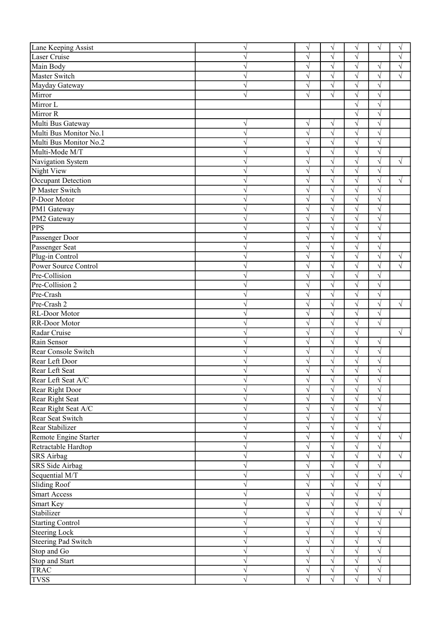| Lane Keeping Assist                     | $\sqrt{}$      | V              | $\sqrt{}$              | $\sqrt{}$               | $\sqrt{}$               | $\sqrt{}$  |
|-----------------------------------------|----------------|----------------|------------------------|-------------------------|-------------------------|------------|
| Laser Cruise                            | V              | $\sqrt{}$      | $\sqrt{}$              | $\sqrt{}$               |                         | V          |
| Main Body                               | V              | V              | $\sqrt{}$              | $\sqrt{}$               | $\sqrt{}$               | $\sqrt{}$  |
| Master Switch                           | V              | $\sqrt{}$      | $\sqrt{}$              | $\sqrt{}$               | $\sqrt{}$               | $\sqrt{}$  |
| Mayday Gateway                          | $\sqrt{}$      | $\sqrt{}$      | $\sqrt{}$              | $\sqrt{}$               | $\sqrt{}$               |            |
| Mirror                                  | $\sqrt{}$      | $\sqrt{}$      | $\sqrt{}$              | $\sqrt{}$               | $\sqrt{}$               |            |
| Mirror L                                |                |                |                        | $\sqrt{}$               | $\sqrt{ }$              |            |
| Mirror R                                |                |                |                        | $\sqrt{}$               | $\sqrt{}$               |            |
| Multi Bus Gateway                       | V              | $\sqrt{}$      | V                      | $\sqrt{}$               | $\sqrt{}$               |            |
| Multi Bus Monitor No.1                  | $\sqrt{}$      | $\sqrt{}$      | $\sqrt{}$              | $\sqrt{}$               | $\sqrt{}$               |            |
| Multi Bus Monitor No.2                  | $\sqrt{}$      | $\sqrt{}$      | $\sqrt{}$              | $\sqrt{}$               | $\sqrt{}$               |            |
| Multi-Mode M/T                          | $\sqrt{}$      | $\sqrt{}$      | $\sqrt{}$              | $\sqrt{}$               | $\sqrt{}$               |            |
| Navigation System                       | $\sqrt{}$      | $\sqrt{}$      | $\sqrt{}$              | $\sqrt{}$               | $\sqrt{}$               | $\sqrt{ }$ |
| Night View                              | $\sqrt{}$      | $\sqrt{}$      | $\sqrt{}$              | $\sqrt{}$               | $\sqrt{}$               |            |
| Occupant Detection                      | $\sqrt{}$      | $\sqrt{}$      | $\sqrt{}$              | $\sqrt{}$               | $\sqrt{ }$              | $\sqrt{ }$ |
| P Master Switch                         | $\sqrt{}$      | $\sqrt{}$      | $\sqrt{}$              | $\sqrt{}$               | $\sqrt{}$               |            |
| P-Door Motor                            | V              | $\sqrt{}$      | $\sqrt{}$              | $\sqrt{}$               | $\sqrt{}$               |            |
| PM1 Gateway                             | V              | $\sqrt{}$      | $\sqrt{}$              | $\sqrt{}$               | $\sqrt{}$               |            |
| PM2 Gateway                             | V              | $\sqrt{}$      | $\sqrt{}$              | $\sqrt{}$               | $\sqrt{}$               |            |
| PPS                                     | $\sqrt{}$      | $\sqrt{}$      | $\sqrt{}$              | $\sqrt{}$               | $\sqrt{ }$              |            |
| Passenger Door                          | $\sqrt{}$      | $\sqrt{}$      | $\sqrt{}$              | $\sqrt{}$               | $\sqrt{}$               |            |
| Passenger Seat                          | $\sqrt{}$      | $\sqrt{}$      | $\sqrt{}$              | $\overline{\sqrt{} }$   | $\sqrt{ }$              |            |
| Plug-in Control<br>Power Source Control | $\sqrt{}$      | $\sqrt{}$      | $\sqrt{}$              | $\sqrt{}$               | $\sqrt{}$               | $\sqrt{}$  |
|                                         | $\sqrt{}$      | $\sqrt{}$      | $\sqrt{}$              | $\sqrt{}$               | $\sqrt{}$               | $\sqrt{ }$ |
| Pre-Collision                           | $\sqrt{}$      | $\sqrt{}$      | $\sqrt{}$              | $\sqrt{}$               | $\sqrt{ }$              |            |
| Pre-Collision 2                         | $\sqrt{}$      | $\sqrt{}$      | $\sqrt{}$              | $\sqrt{}$               | $\sqrt{}$               |            |
| Pre-Crash                               | $\sqrt{}$      | $\sqrt{}$      | $\sqrt{}$              | $\sqrt{}$               | $\sqrt{}$               |            |
| Pre-Crash 2                             | $\sqrt{}$      | $\sqrt{}$      | $\sqrt{}$              | $\sqrt{}$               | $\sqrt{}$               | $\sqrt{}$  |
| RL-Door Motor                           | $\sqrt{}$      | $\sqrt{}$      | $\sqrt{}$              | $\sqrt{}$               | $\sqrt{}$               |            |
| RR-Door Motor                           | $\sqrt{}$      | $\sqrt{}$      | $\sqrt{}$              | $\sqrt{}$               | $\sqrt{}$               |            |
| Radar Cruise                            | $\sqrt{}$      | $\sqrt{}$      | $\sqrt{}$              | $\sqrt{}$               |                         | $\sqrt{}$  |
| Rain Sensor                             | $\sqrt{}$      | $\sqrt{}$      | $\sqrt{}$              | $\sqrt{}$               | $\sqrt{ }$              |            |
| Rear Console Switch                     | V              | $\sqrt{}$      | $\sqrt{}$              | $\sqrt{}$               | $\sqrt{ }$              |            |
| Rear Left Door<br>Rear Left Seat        | V              | V              | V                      | $\sqrt{}$<br>$\sqrt{}$  | $\sqrt{}$               |            |
| Rear Left Seat A/C                      |                | $\sqrt{}$      | V                      |                         | V                       |            |
| Rear Right Door                         | V<br>$\sqrt{}$ | V<br>$\sqrt{}$ | $\sqrt{}$<br>$\sqrt{}$ | $\sqrt{ }$<br>$\sqrt{}$ | $\sqrt{ }$<br>$\sqrt{}$ |            |
| Rear Right Seat                         | $\sqrt{}$      | $\sqrt{}$      | $\sqrt{}$              | $\sqrt{}$               | $\sqrt{}$               |            |
| Rear Right Seat A/C                     | $\sqrt{}$      | $\sqrt{}$      | $\sqrt{}$              | $\sqrt{}$               | $\sqrt{}$               |            |
| Rear Seat Switch                        | $\sqrt{}$      | $\sqrt{}$      | $\sqrt{}$              | $\sqrt{}$               | $\sqrt{ }$              |            |
| Rear Stabilizer                         | $\sqrt{}$      | $\sqrt{}$      | $\sqrt{}$              | $\sqrt{}$               | $\sqrt{}$               |            |
| Remote Engine Starter                   | $\sqrt{}$      | $\sqrt{}$      | $\sqrt{}$              | $\sqrt{}$               | $\sqrt{}$               | $\sqrt{}$  |
| Retractable Hardtop                     | $\sqrt{}$      | $\sqrt{}$      | $\sqrt{}$              | $\sqrt{}$               | $\sqrt{}$               |            |
| <b>SRS</b> Airbag                       | $\sqrt{}$      | $\sqrt{}$      | $\sqrt{}$              | $\sqrt{}$               | $\sqrt{ }$              | $\sqrt{}$  |
| SRS Side Airbag                         | $\sqrt{}$      | $\sqrt{}$      | $\sqrt{}$              | $\sqrt{}$               | $\sqrt{ }$              |            |
| Sequential M/T                          | $\sqrt{}$      | $\sqrt{}$      | $\sqrt{}$              | $\sqrt{}$               | $\sqrt{ }$              | $\sqrt{}$  |
| <b>Sliding Roof</b>                     | $\sqrt{}$      | $\sqrt{}$      | $\sqrt{}$              | $\sqrt{}$               | $\sqrt{ }$              |            |
| Smart Access                            | $\sqrt{}$      | $\sqrt{}$      | $\sqrt{}$              | $\sqrt{}$               | $\sqrt{}$               |            |
| Smart Key                               | $\sqrt{}$      | $\sqrt{}$      | $\sqrt{}$              | $\sqrt{}$               | $\sqrt{ }$              |            |
| Stabilizer                              | $\sqrt{}$      | $\sqrt{}$      | $\sqrt{}$              | $\sqrt{}$               | $\sqrt{}$               | $\sqrt{ }$ |
| Starting Control                        | $\sqrt{}$      | $\sqrt{}$      | $\sqrt{}$              | $\sqrt{}$               | $\sqrt{ }$              |            |
| Steering Lock                           | $\sqrt{}$      | $\sqrt{}$      | $\sqrt{}$              | $\sqrt{}$               | $\sqrt{}$               |            |
| Steering Pad Switch                     | $\sqrt{}$      | $\sqrt{}$      | $\sqrt{}$              | $\sqrt{}$               | $\sqrt{}$               |            |
| Stop and Go                             | $\sqrt{}$      | $\sqrt{}$      | $\sqrt{}$              | $\sqrt{}$               | $\sqrt{}$               |            |
| Stop and Start                          | $\sqrt{}$      | $\sqrt{}$      | $\sqrt{}$              | $\sqrt{}$               | $\sqrt{ }$              |            |
| <b>TRAC</b>                             | $\sqrt{}$      | $\sqrt{}$      | $\sqrt{}$              | $\sqrt{}$               | $\sqrt{}$               |            |
| <b>TVSS</b>                             | $\sqrt{}$      | $\sqrt{}$      | $\sqrt{}$              | $\sqrt{}$               | $\sqrt{}$               |            |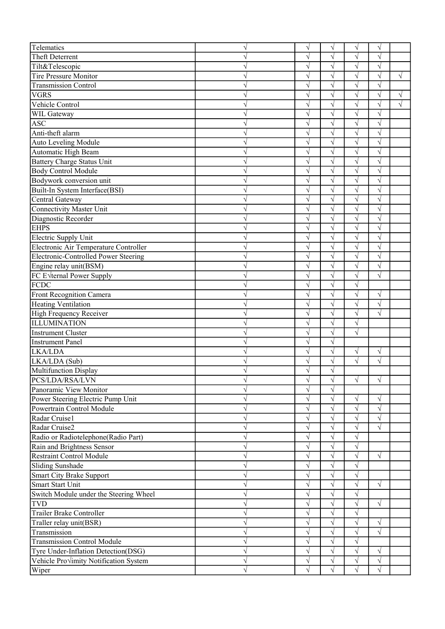| Telematics                             | V                      | $\sqrt{}$                | V                      | $\sqrt{}$              | $\sqrt{}$               |            |
|----------------------------------------|------------------------|--------------------------|------------------------|------------------------|-------------------------|------------|
| Theft Deterrent                        | V                      | $\sqrt{}$                | $\sqrt{}$              | $\sqrt{}$              | $\sqrt{ }$              |            |
| Tilt&Telescopic                        | N                      | $\sqrt{ }$               | $\sqrt{}$              | $\sqrt{}$              | $\sqrt{}$               |            |
| Tire Pressure Monitor                  | V                      | $\sqrt{ }$               | $\sqrt{}$              | $\sqrt{}$              | $\sqrt{}$               | $\sqrt{ }$ |
| <b>Transmission Control</b>            | V                      | $\sqrt{}$                | V                      | $\overline{\sqrt{} }$  | $\sqrt{}$               |            |
| <b>VGRS</b>                            | V                      | $\sqrt{}$                | V                      | $\sqrt{}$              | $\sqrt{}$               | $\sqrt{}$  |
| Vehicle Control                        | V                      | $\sqrt{ }$               | $\sqrt{}$              | $\sqrt{}$              | $\sqrt{ }$              | $\sqrt{}$  |
| <b>WIL Gateway</b>                     | V                      | $\sqrt{ }$               | $\sqrt{}$              | $\sqrt{}$              | $\sqrt{}$               |            |
| <b>ASC</b>                             | V                      | $\sqrt{}$                | V                      | $\sqrt{}$              | $\sqrt{}$               |            |
| Anti-theft alarm                       | V                      | $\sqrt{}$                | V                      | $\sqrt{}$              | $\sqrt{}$               |            |
| Auto Leveling Module                   | V                      | $\sqrt{ }$               | $\sqrt{}$              | $\sqrt{}$              | $\sqrt{}$               |            |
| Automatic High Beam                    | $\sqrt{}$              | $\sqrt{ }$               | $\sqrt{}$              | $\sqrt{}$              | $\sqrt{}$               |            |
| Battery Charge Status Unit             | $\sqrt{}$              | $\sqrt{}$                | $\sqrt{}$              | $\overline{\sqrt{} }$  | $\sqrt{}$               |            |
| <b>Body Control Module</b>             | $\sqrt{}$              | $\sqrt{ }$               | $\sqrt{}$              | $\sqrt{}$              | $\sqrt{ }$              |            |
| Bodywork conversion unit               | $\sqrt{}$              | $\sqrt{}$                | $\sqrt{}$              | $\overline{\sqrt{} }$  | $\sqrt{}$               |            |
| Built-In System Interface(BSI)         | $\sqrt{}$              | $\sqrt{}$                | $\sqrt{}$              | $\sqrt{}$              | $\sqrt{ }$              |            |
| Central Gateway                        | V                      | $\sqrt{}$                | $\sqrt{}$              | $\sqrt{}$              | $\sqrt{}$               |            |
| <b>Connectivity Master Unit</b>        | V                      | $\sqrt{}$                | $\sqrt{}$              | $\sqrt{}$              | $\sqrt{}$               |            |
| Diagnostic Recorder                    | N                      | $\sqrt{}$                | $\sqrt{}$              | $\sqrt{}$              | $\sqrt{}$               |            |
| <b>EHPS</b>                            | V                      | $\sqrt{ }$               | $\sqrt{}$              | $\sqrt{}$              | $\sqrt{ }$              |            |
| Electric Supply Unit                   | $\sqrt{}$              | $\sqrt{}$                | $\sqrt{}$              | $\overline{\sqrt{} }$  | $\sqrt{ }$              |            |
| Electronic Air Temperature Controller  | $\sqrt{}$              | $\sqrt{ }$               | $\sqrt{}$              | $\sqrt{}$              | $\sqrt{}$               |            |
| Electronic-Controlled Power Steering   | $\sqrt{}$              | $\sqrt{ }$               | $\sqrt{}$              | $\sqrt{}$              | $\sqrt{ }$              |            |
|                                        | $\sqrt{}$              | $\sqrt{ }$               | $\sqrt{}$              | $\sqrt{}$              | $\sqrt{ }$              |            |
| Engine relay unit(BSM)                 | $\sqrt{}$              | $\sqrt{}$                | $\sqrt{}$              | $\sqrt{}$              | $\sqrt{ }$              |            |
| FC Evternal Power Supply<br>FCDC       | $\sqrt{}$              | $\sqrt{}$                | $\sqrt{}$              | $\sqrt{}$              |                         |            |
|                                        |                        |                          |                        |                        |                         |            |
| Front Recognition Camera               | $\sqrt{}$<br>$\sqrt{}$ | $\sqrt{ }$<br>$\sqrt{ }$ | $\sqrt{}$<br>$\sqrt{}$ | $\sqrt{}$<br>$\sqrt{}$ | $\sqrt{}$<br>$\sqrt{ }$ |            |
| <b>Heating Ventilation</b>             | $\sqrt{}$              | $\sqrt{}$                | $\sqrt{}$              | $\overline{\sqrt{} }$  | $\sqrt{ }$              |            |
| High Frequency Receiver                |                        |                          |                        |                        |                         |            |
| <b>ILLUMINATION</b>                    | $\sqrt{}$              | $\sqrt{}$                | $\sqrt{}$              | $\sqrt{}$              |                         |            |
| <b>Instrument Cluster</b>              | V                      | $\sqrt{ }$               | $\sqrt{}$              | $\sqrt{}$              |                         |            |
| Instrument Panel                       | V                      | $\sqrt{ }$               | $\sqrt{}$              |                        |                         |            |
| LKA/LDA                                |                        | $\sqrt{}$                | V                      | $\sqrt{}$              | $\sqrt{ }$              |            |
| LKA/LDA (Sub)                          |                        | $\sqrt{}$                |                        | $\overline{\sqrt{} }$  | $\sqrt{}$               |            |
| Multifunction Display                  |                        | V                        |                        |                        |                         |            |
| PCS/LDA/RSA/LVN                        | V                      | V                        | V                      | $\sqrt{}$              | $\sqrt{}$               |            |
| Panoramic View Monitor                 | V                      | $\sqrt{ }$               |                        |                        |                         |            |
| Power Steering Electric Pump Unit      | V                      | $\sqrt{}$                | $\sqrt{}$              | $\sqrt{}$              | $\sqrt{}$               |            |
| Powertrain Control Module              | $\sqrt{}$              | $\sqrt{}$                | $\sqrt{}$              | $\sqrt{}$              | $\sqrt{}$               |            |
| Radar Cruise1                          | $\sqrt{}$              | $\sqrt{}$                | $\sqrt{}$              | $\sqrt{}$              | $\sqrt{ }$              |            |
| Radar Cruise2                          | $\sqrt{}$              | $\sqrt{}$                | $\sqrt{}$              | $\sqrt{}$              | $\sqrt{ }$              |            |
| Radio or Radiotelephone(Radio Part)    | $\sqrt{}$              | $\sqrt{}$                | $\sqrt{}$              | $\sqrt{}$              |                         |            |
| Rain and Brightness Sensor             | V                      | $\sqrt{ }$               | V                      | $\sqrt{}$              |                         |            |
| <b>Restraint Control Module</b>        | $\sqrt{}$              | $\sqrt{ }$               | $\sqrt{}$              | $\sqrt{}$              | $\sqrt{ }$              |            |
| Sliding Sunshade                       | $\sqrt{}$              | $\sqrt{}$                | $\sqrt{}$              | $\sqrt{}$              |                         |            |
| Smart City Brake Support               | V                      | $\sqrt{}$                | $\sqrt{}$              | $\sqrt{}$              |                         |            |
| Smart Start Unit                       | $\sqrt{}$              | $\sqrt{}$                | V                      | $\sqrt{}$              | $\sqrt{ }$              |            |
| Switch Module under the Steering Wheel | $\sqrt{}$              | $\sqrt{}$                | $\sqrt{}$              | $\sqrt{}$              |                         |            |
| <b>TVD</b>                             | $\sqrt{}$              | $\sqrt{}$                | $\sqrt{}$              | $\sqrt{}$              | $\sqrt{ }$              |            |
| Trailer Brake Controller               | $\sqrt{}$              | $\sqrt{}$                | V                      | $\sqrt{}$              |                         |            |
| Traller relay unit(BSR)                | $\sqrt{}$              | $\sqrt{}$                | $\sqrt{}$              | $\sqrt{}$              | $\sqrt{ }$              |            |
| Transmission                           | $\sqrt{}$              | $\sqrt{ }$               | $\sqrt{}$              | $\sqrt{}$              | $\sqrt{ }$              |            |
| <b>Transmission Control Module</b>     | $\sqrt{}$              | $\sqrt{}$                | $\sqrt{}$              | $\sqrt{}$              |                         |            |
| Tyre Under-Inflation Detection(DSG)    | $\sqrt{}$              | $\sqrt{}$                | $\sqrt{}$              | $\sqrt{}$              | $\sqrt{ }$              |            |
| Vehicle Pro√imity Notification System  | $\sqrt{}$              | $\sqrt{ }$               | $\sqrt{}$              | $\sqrt{}$              | $\sqrt{}$               |            |
| Wiper                                  | $\sqrt{}$              | $\sqrt{ }$               | $\sqrt{}$              | $\sqrt{}$              | $\sqrt{ }$              |            |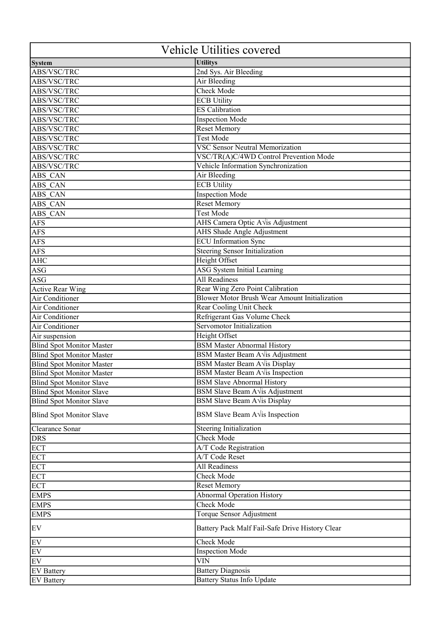| <b>System</b><br><b>Utilitys</b><br>2nd Sys. Air Bleeding<br>ABS/VSC/TRC<br>Air Bleeding<br>ABS/VSC/TRC<br>Check Mode<br>ABS/VSC/TRC<br>ABS/VSC/TRC<br><b>ECB Utility</b><br><b>ES</b> Calibration<br>ABS/VSC/TRC<br>ABS/VSC/TRC<br><b>Inspection Mode</b><br>Reset Memory<br>ABS/VSC/TRC<br><b>Test Mode</b><br>ABS/VSC/TRC<br><b>VSC Sensor Neutral Memorization</b><br>ABS/VSC/TRC<br>VSC/TR(A)C/4WD Control Prevention Mode<br>ABS/VSC/TRC<br>Vehicle Information Synchronization<br>ABS/VSC/TRC<br>Air Bleeding<br>ABS CAN<br><b>ECB Utility</b><br>ABS CAN<br><b>Inspection Mode</b><br>ABS CAN<br><b>Reset Memory</b><br>ABS CAN<br><b>Test Mode</b><br>ABS CAN<br><b>AFS</b><br>AHS Camera Optic A vis Adjustment<br>AHS Shade Angle Adjustment<br><b>AFS</b><br><b>ECU</b> Information Sync<br><b>AFS</b><br>Steering Sensor Initialization<br><b>AFS</b><br>Height Offset<br><b>AHC</b><br><b>ASG System Initial Learning</b><br>ASG<br><b>All Readiness</b><br><b>ASG</b><br>Rear Wing Zero Point Calibration<br><b>Active Rear Wing</b><br>Blower Motor Brush Wear Amount Initialization<br>Air Conditioner<br>Air Conditioner<br>Rear Cooling Unit Check<br>Refrigerant Gas Volume Check<br>Air Conditioner<br>Servomotor Initialization<br>Air Conditioner<br>Height Offset<br>Air suspension<br><b>BSM Master Abnormal History</b><br><b>Blind Spot Monitor Master</b><br>BSM Master Beam A vis Adjustment<br><b>Blind Spot Monitor Master</b><br>BSM Master Beam A Vis Display<br><b>Blind Spot Monitor Master</b><br>BSM Master Beam A vis Inspection<br><b>Blind Spot Monitor Master</b><br><b>BSM Slave Abnormal History</b><br><b>Blind Spot Monitor Slave</b><br>BSM Slave Beam $A\sqrt{is}$ Adjustment<br>BSM Slave Beam A Vis Display<br>BSM Slave Beam $A\sqrt{is}$ Inspection<br>Steering Initialization<br>Clearance Sonar<br><b>Check Mode</b><br><b>DRS</b><br><b>ECT</b><br>A/T Code Registration<br>A/T Code Reset<br><b>ECT</b><br><b>All Readiness</b><br><b>ECT</b><br><b>ECT</b><br>Check Mode<br><b>Reset Memory</b><br><b>ECT</b><br><b>Abnormal Operation History</b><br><b>EMPS</b><br>Check Mode<br><b>EMPS</b><br>Torque Sensor Adjustment<br><b>EMPS</b><br>Battery Pack Malf Fail-Safe Drive History Clear<br>EV<br>Check Mode<br><b>Inspection Mode</b><br>EV<br><b>VIN</b><br>EV<br><b>Battery Diagnosis</b><br><b>EV Battery</b> | Vehicle Utilities covered       |  |
|-------------------------------------------------------------------------------------------------------------------------------------------------------------------------------------------------------------------------------------------------------------------------------------------------------------------------------------------------------------------------------------------------------------------------------------------------------------------------------------------------------------------------------------------------------------------------------------------------------------------------------------------------------------------------------------------------------------------------------------------------------------------------------------------------------------------------------------------------------------------------------------------------------------------------------------------------------------------------------------------------------------------------------------------------------------------------------------------------------------------------------------------------------------------------------------------------------------------------------------------------------------------------------------------------------------------------------------------------------------------------------------------------------------------------------------------------------------------------------------------------------------------------------------------------------------------------------------------------------------------------------------------------------------------------------------------------------------------------------------------------------------------------------------------------------------------------------------------------------------------------------------------------------------------------------------------------------------------------------------------------------------------------------------------------------------------------------------------------------------------------------------------------------------------------------------------------------------------------------------------------------------------------------------------------------------------------------------------------------------------------------|---------------------------------|--|
|                                                                                                                                                                                                                                                                                                                                                                                                                                                                                                                                                                                                                                                                                                                                                                                                                                                                                                                                                                                                                                                                                                                                                                                                                                                                                                                                                                                                                                                                                                                                                                                                                                                                                                                                                                                                                                                                                                                                                                                                                                                                                                                                                                                                                                                                                                                                                                               |                                 |  |
|                                                                                                                                                                                                                                                                                                                                                                                                                                                                                                                                                                                                                                                                                                                                                                                                                                                                                                                                                                                                                                                                                                                                                                                                                                                                                                                                                                                                                                                                                                                                                                                                                                                                                                                                                                                                                                                                                                                                                                                                                                                                                                                                                                                                                                                                                                                                                                               |                                 |  |
|                                                                                                                                                                                                                                                                                                                                                                                                                                                                                                                                                                                                                                                                                                                                                                                                                                                                                                                                                                                                                                                                                                                                                                                                                                                                                                                                                                                                                                                                                                                                                                                                                                                                                                                                                                                                                                                                                                                                                                                                                                                                                                                                                                                                                                                                                                                                                                               |                                 |  |
|                                                                                                                                                                                                                                                                                                                                                                                                                                                                                                                                                                                                                                                                                                                                                                                                                                                                                                                                                                                                                                                                                                                                                                                                                                                                                                                                                                                                                                                                                                                                                                                                                                                                                                                                                                                                                                                                                                                                                                                                                                                                                                                                                                                                                                                                                                                                                                               |                                 |  |
|                                                                                                                                                                                                                                                                                                                                                                                                                                                                                                                                                                                                                                                                                                                                                                                                                                                                                                                                                                                                                                                                                                                                                                                                                                                                                                                                                                                                                                                                                                                                                                                                                                                                                                                                                                                                                                                                                                                                                                                                                                                                                                                                                                                                                                                                                                                                                                               |                                 |  |
|                                                                                                                                                                                                                                                                                                                                                                                                                                                                                                                                                                                                                                                                                                                                                                                                                                                                                                                                                                                                                                                                                                                                                                                                                                                                                                                                                                                                                                                                                                                                                                                                                                                                                                                                                                                                                                                                                                                                                                                                                                                                                                                                                                                                                                                                                                                                                                               |                                 |  |
|                                                                                                                                                                                                                                                                                                                                                                                                                                                                                                                                                                                                                                                                                                                                                                                                                                                                                                                                                                                                                                                                                                                                                                                                                                                                                                                                                                                                                                                                                                                                                                                                                                                                                                                                                                                                                                                                                                                                                                                                                                                                                                                                                                                                                                                                                                                                                                               |                                 |  |
|                                                                                                                                                                                                                                                                                                                                                                                                                                                                                                                                                                                                                                                                                                                                                                                                                                                                                                                                                                                                                                                                                                                                                                                                                                                                                                                                                                                                                                                                                                                                                                                                                                                                                                                                                                                                                                                                                                                                                                                                                                                                                                                                                                                                                                                                                                                                                                               |                                 |  |
|                                                                                                                                                                                                                                                                                                                                                                                                                                                                                                                                                                                                                                                                                                                                                                                                                                                                                                                                                                                                                                                                                                                                                                                                                                                                                                                                                                                                                                                                                                                                                                                                                                                                                                                                                                                                                                                                                                                                                                                                                                                                                                                                                                                                                                                                                                                                                                               |                                 |  |
|                                                                                                                                                                                                                                                                                                                                                                                                                                                                                                                                                                                                                                                                                                                                                                                                                                                                                                                                                                                                                                                                                                                                                                                                                                                                                                                                                                                                                                                                                                                                                                                                                                                                                                                                                                                                                                                                                                                                                                                                                                                                                                                                                                                                                                                                                                                                                                               |                                 |  |
|                                                                                                                                                                                                                                                                                                                                                                                                                                                                                                                                                                                                                                                                                                                                                                                                                                                                                                                                                                                                                                                                                                                                                                                                                                                                                                                                                                                                                                                                                                                                                                                                                                                                                                                                                                                                                                                                                                                                                                                                                                                                                                                                                                                                                                                                                                                                                                               |                                 |  |
|                                                                                                                                                                                                                                                                                                                                                                                                                                                                                                                                                                                                                                                                                                                                                                                                                                                                                                                                                                                                                                                                                                                                                                                                                                                                                                                                                                                                                                                                                                                                                                                                                                                                                                                                                                                                                                                                                                                                                                                                                                                                                                                                                                                                                                                                                                                                                                               |                                 |  |
|                                                                                                                                                                                                                                                                                                                                                                                                                                                                                                                                                                                                                                                                                                                                                                                                                                                                                                                                                                                                                                                                                                                                                                                                                                                                                                                                                                                                                                                                                                                                                                                                                                                                                                                                                                                                                                                                                                                                                                                                                                                                                                                                                                                                                                                                                                                                                                               |                                 |  |
|                                                                                                                                                                                                                                                                                                                                                                                                                                                                                                                                                                                                                                                                                                                                                                                                                                                                                                                                                                                                                                                                                                                                                                                                                                                                                                                                                                                                                                                                                                                                                                                                                                                                                                                                                                                                                                                                                                                                                                                                                                                                                                                                                                                                                                                                                                                                                                               |                                 |  |
|                                                                                                                                                                                                                                                                                                                                                                                                                                                                                                                                                                                                                                                                                                                                                                                                                                                                                                                                                                                                                                                                                                                                                                                                                                                                                                                                                                                                                                                                                                                                                                                                                                                                                                                                                                                                                                                                                                                                                                                                                                                                                                                                                                                                                                                                                                                                                                               |                                 |  |
|                                                                                                                                                                                                                                                                                                                                                                                                                                                                                                                                                                                                                                                                                                                                                                                                                                                                                                                                                                                                                                                                                                                                                                                                                                                                                                                                                                                                                                                                                                                                                                                                                                                                                                                                                                                                                                                                                                                                                                                                                                                                                                                                                                                                                                                                                                                                                                               |                                 |  |
|                                                                                                                                                                                                                                                                                                                                                                                                                                                                                                                                                                                                                                                                                                                                                                                                                                                                                                                                                                                                                                                                                                                                                                                                                                                                                                                                                                                                                                                                                                                                                                                                                                                                                                                                                                                                                                                                                                                                                                                                                                                                                                                                                                                                                                                                                                                                                                               |                                 |  |
|                                                                                                                                                                                                                                                                                                                                                                                                                                                                                                                                                                                                                                                                                                                                                                                                                                                                                                                                                                                                                                                                                                                                                                                                                                                                                                                                                                                                                                                                                                                                                                                                                                                                                                                                                                                                                                                                                                                                                                                                                                                                                                                                                                                                                                                                                                                                                                               |                                 |  |
|                                                                                                                                                                                                                                                                                                                                                                                                                                                                                                                                                                                                                                                                                                                                                                                                                                                                                                                                                                                                                                                                                                                                                                                                                                                                                                                                                                                                                                                                                                                                                                                                                                                                                                                                                                                                                                                                                                                                                                                                                                                                                                                                                                                                                                                                                                                                                                               |                                 |  |
|                                                                                                                                                                                                                                                                                                                                                                                                                                                                                                                                                                                                                                                                                                                                                                                                                                                                                                                                                                                                                                                                                                                                                                                                                                                                                                                                                                                                                                                                                                                                                                                                                                                                                                                                                                                                                                                                                                                                                                                                                                                                                                                                                                                                                                                                                                                                                                               |                                 |  |
|                                                                                                                                                                                                                                                                                                                                                                                                                                                                                                                                                                                                                                                                                                                                                                                                                                                                                                                                                                                                                                                                                                                                                                                                                                                                                                                                                                                                                                                                                                                                                                                                                                                                                                                                                                                                                                                                                                                                                                                                                                                                                                                                                                                                                                                                                                                                                                               |                                 |  |
|                                                                                                                                                                                                                                                                                                                                                                                                                                                                                                                                                                                                                                                                                                                                                                                                                                                                                                                                                                                                                                                                                                                                                                                                                                                                                                                                                                                                                                                                                                                                                                                                                                                                                                                                                                                                                                                                                                                                                                                                                                                                                                                                                                                                                                                                                                                                                                               |                                 |  |
|                                                                                                                                                                                                                                                                                                                                                                                                                                                                                                                                                                                                                                                                                                                                                                                                                                                                                                                                                                                                                                                                                                                                                                                                                                                                                                                                                                                                                                                                                                                                                                                                                                                                                                                                                                                                                                                                                                                                                                                                                                                                                                                                                                                                                                                                                                                                                                               |                                 |  |
|                                                                                                                                                                                                                                                                                                                                                                                                                                                                                                                                                                                                                                                                                                                                                                                                                                                                                                                                                                                                                                                                                                                                                                                                                                                                                                                                                                                                                                                                                                                                                                                                                                                                                                                                                                                                                                                                                                                                                                                                                                                                                                                                                                                                                                                                                                                                                                               |                                 |  |
|                                                                                                                                                                                                                                                                                                                                                                                                                                                                                                                                                                                                                                                                                                                                                                                                                                                                                                                                                                                                                                                                                                                                                                                                                                                                                                                                                                                                                                                                                                                                                                                                                                                                                                                                                                                                                                                                                                                                                                                                                                                                                                                                                                                                                                                                                                                                                                               |                                 |  |
|                                                                                                                                                                                                                                                                                                                                                                                                                                                                                                                                                                                                                                                                                                                                                                                                                                                                                                                                                                                                                                                                                                                                                                                                                                                                                                                                                                                                                                                                                                                                                                                                                                                                                                                                                                                                                                                                                                                                                                                                                                                                                                                                                                                                                                                                                                                                                                               |                                 |  |
|                                                                                                                                                                                                                                                                                                                                                                                                                                                                                                                                                                                                                                                                                                                                                                                                                                                                                                                                                                                                                                                                                                                                                                                                                                                                                                                                                                                                                                                                                                                                                                                                                                                                                                                                                                                                                                                                                                                                                                                                                                                                                                                                                                                                                                                                                                                                                                               |                                 |  |
|                                                                                                                                                                                                                                                                                                                                                                                                                                                                                                                                                                                                                                                                                                                                                                                                                                                                                                                                                                                                                                                                                                                                                                                                                                                                                                                                                                                                                                                                                                                                                                                                                                                                                                                                                                                                                                                                                                                                                                                                                                                                                                                                                                                                                                                                                                                                                                               |                                 |  |
|                                                                                                                                                                                                                                                                                                                                                                                                                                                                                                                                                                                                                                                                                                                                                                                                                                                                                                                                                                                                                                                                                                                                                                                                                                                                                                                                                                                                                                                                                                                                                                                                                                                                                                                                                                                                                                                                                                                                                                                                                                                                                                                                                                                                                                                                                                                                                                               |                                 |  |
|                                                                                                                                                                                                                                                                                                                                                                                                                                                                                                                                                                                                                                                                                                                                                                                                                                                                                                                                                                                                                                                                                                                                                                                                                                                                                                                                                                                                                                                                                                                                                                                                                                                                                                                                                                                                                                                                                                                                                                                                                                                                                                                                                                                                                                                                                                                                                                               |                                 |  |
|                                                                                                                                                                                                                                                                                                                                                                                                                                                                                                                                                                                                                                                                                                                                                                                                                                                                                                                                                                                                                                                                                                                                                                                                                                                                                                                                                                                                                                                                                                                                                                                                                                                                                                                                                                                                                                                                                                                                                                                                                                                                                                                                                                                                                                                                                                                                                                               |                                 |  |
|                                                                                                                                                                                                                                                                                                                                                                                                                                                                                                                                                                                                                                                                                                                                                                                                                                                                                                                                                                                                                                                                                                                                                                                                                                                                                                                                                                                                                                                                                                                                                                                                                                                                                                                                                                                                                                                                                                                                                                                                                                                                                                                                                                                                                                                                                                                                                                               |                                 |  |
|                                                                                                                                                                                                                                                                                                                                                                                                                                                                                                                                                                                                                                                                                                                                                                                                                                                                                                                                                                                                                                                                                                                                                                                                                                                                                                                                                                                                                                                                                                                                                                                                                                                                                                                                                                                                                                                                                                                                                                                                                                                                                                                                                                                                                                                                                                                                                                               |                                 |  |
|                                                                                                                                                                                                                                                                                                                                                                                                                                                                                                                                                                                                                                                                                                                                                                                                                                                                                                                                                                                                                                                                                                                                                                                                                                                                                                                                                                                                                                                                                                                                                                                                                                                                                                                                                                                                                                                                                                                                                                                                                                                                                                                                                                                                                                                                                                                                                                               |                                 |  |
|                                                                                                                                                                                                                                                                                                                                                                                                                                                                                                                                                                                                                                                                                                                                                                                                                                                                                                                                                                                                                                                                                                                                                                                                                                                                                                                                                                                                                                                                                                                                                                                                                                                                                                                                                                                                                                                                                                                                                                                                                                                                                                                                                                                                                                                                                                                                                                               |                                 |  |
|                                                                                                                                                                                                                                                                                                                                                                                                                                                                                                                                                                                                                                                                                                                                                                                                                                                                                                                                                                                                                                                                                                                                                                                                                                                                                                                                                                                                                                                                                                                                                                                                                                                                                                                                                                                                                                                                                                                                                                                                                                                                                                                                                                                                                                                                                                                                                                               | <b>Blind Spot Monitor Slave</b> |  |
|                                                                                                                                                                                                                                                                                                                                                                                                                                                                                                                                                                                                                                                                                                                                                                                                                                                                                                                                                                                                                                                                                                                                                                                                                                                                                                                                                                                                                                                                                                                                                                                                                                                                                                                                                                                                                                                                                                                                                                                                                                                                                                                                                                                                                                                                                                                                                                               | <b>Blind Spot Monitor Slave</b> |  |
|                                                                                                                                                                                                                                                                                                                                                                                                                                                                                                                                                                                                                                                                                                                                                                                                                                                                                                                                                                                                                                                                                                                                                                                                                                                                                                                                                                                                                                                                                                                                                                                                                                                                                                                                                                                                                                                                                                                                                                                                                                                                                                                                                                                                                                                                                                                                                                               | <b>Blind Spot Monitor Slave</b> |  |
|                                                                                                                                                                                                                                                                                                                                                                                                                                                                                                                                                                                                                                                                                                                                                                                                                                                                                                                                                                                                                                                                                                                                                                                                                                                                                                                                                                                                                                                                                                                                                                                                                                                                                                                                                                                                                                                                                                                                                                                                                                                                                                                                                                                                                                                                                                                                                                               |                                 |  |
|                                                                                                                                                                                                                                                                                                                                                                                                                                                                                                                                                                                                                                                                                                                                                                                                                                                                                                                                                                                                                                                                                                                                                                                                                                                                                                                                                                                                                                                                                                                                                                                                                                                                                                                                                                                                                                                                                                                                                                                                                                                                                                                                                                                                                                                                                                                                                                               |                                 |  |
|                                                                                                                                                                                                                                                                                                                                                                                                                                                                                                                                                                                                                                                                                                                                                                                                                                                                                                                                                                                                                                                                                                                                                                                                                                                                                                                                                                                                                                                                                                                                                                                                                                                                                                                                                                                                                                                                                                                                                                                                                                                                                                                                                                                                                                                                                                                                                                               |                                 |  |
|                                                                                                                                                                                                                                                                                                                                                                                                                                                                                                                                                                                                                                                                                                                                                                                                                                                                                                                                                                                                                                                                                                                                                                                                                                                                                                                                                                                                                                                                                                                                                                                                                                                                                                                                                                                                                                                                                                                                                                                                                                                                                                                                                                                                                                                                                                                                                                               |                                 |  |
|                                                                                                                                                                                                                                                                                                                                                                                                                                                                                                                                                                                                                                                                                                                                                                                                                                                                                                                                                                                                                                                                                                                                                                                                                                                                                                                                                                                                                                                                                                                                                                                                                                                                                                                                                                                                                                                                                                                                                                                                                                                                                                                                                                                                                                                                                                                                                                               |                                 |  |
|                                                                                                                                                                                                                                                                                                                                                                                                                                                                                                                                                                                                                                                                                                                                                                                                                                                                                                                                                                                                                                                                                                                                                                                                                                                                                                                                                                                                                                                                                                                                                                                                                                                                                                                                                                                                                                                                                                                                                                                                                                                                                                                                                                                                                                                                                                                                                                               |                                 |  |
|                                                                                                                                                                                                                                                                                                                                                                                                                                                                                                                                                                                                                                                                                                                                                                                                                                                                                                                                                                                                                                                                                                                                                                                                                                                                                                                                                                                                                                                                                                                                                                                                                                                                                                                                                                                                                                                                                                                                                                                                                                                                                                                                                                                                                                                                                                                                                                               |                                 |  |
|                                                                                                                                                                                                                                                                                                                                                                                                                                                                                                                                                                                                                                                                                                                                                                                                                                                                                                                                                                                                                                                                                                                                                                                                                                                                                                                                                                                                                                                                                                                                                                                                                                                                                                                                                                                                                                                                                                                                                                                                                                                                                                                                                                                                                                                                                                                                                                               |                                 |  |
|                                                                                                                                                                                                                                                                                                                                                                                                                                                                                                                                                                                                                                                                                                                                                                                                                                                                                                                                                                                                                                                                                                                                                                                                                                                                                                                                                                                                                                                                                                                                                                                                                                                                                                                                                                                                                                                                                                                                                                                                                                                                                                                                                                                                                                                                                                                                                                               |                                 |  |
|                                                                                                                                                                                                                                                                                                                                                                                                                                                                                                                                                                                                                                                                                                                                                                                                                                                                                                                                                                                                                                                                                                                                                                                                                                                                                                                                                                                                                                                                                                                                                                                                                                                                                                                                                                                                                                                                                                                                                                                                                                                                                                                                                                                                                                                                                                                                                                               |                                 |  |
|                                                                                                                                                                                                                                                                                                                                                                                                                                                                                                                                                                                                                                                                                                                                                                                                                                                                                                                                                                                                                                                                                                                                                                                                                                                                                                                                                                                                                                                                                                                                                                                                                                                                                                                                                                                                                                                                                                                                                                                                                                                                                                                                                                                                                                                                                                                                                                               | EV                              |  |
|                                                                                                                                                                                                                                                                                                                                                                                                                                                                                                                                                                                                                                                                                                                                                                                                                                                                                                                                                                                                                                                                                                                                                                                                                                                                                                                                                                                                                                                                                                                                                                                                                                                                                                                                                                                                                                                                                                                                                                                                                                                                                                                                                                                                                                                                                                                                                                               |                                 |  |
|                                                                                                                                                                                                                                                                                                                                                                                                                                                                                                                                                                                                                                                                                                                                                                                                                                                                                                                                                                                                                                                                                                                                                                                                                                                                                                                                                                                                                                                                                                                                                                                                                                                                                                                                                                                                                                                                                                                                                                                                                                                                                                                                                                                                                                                                                                                                                                               |                                 |  |
|                                                                                                                                                                                                                                                                                                                                                                                                                                                                                                                                                                                                                                                                                                                                                                                                                                                                                                                                                                                                                                                                                                                                                                                                                                                                                                                                                                                                                                                                                                                                                                                                                                                                                                                                                                                                                                                                                                                                                                                                                                                                                                                                                                                                                                                                                                                                                                               |                                 |  |
|                                                                                                                                                                                                                                                                                                                                                                                                                                                                                                                                                                                                                                                                                                                                                                                                                                                                                                                                                                                                                                                                                                                                                                                                                                                                                                                                                                                                                                                                                                                                                                                                                                                                                                                                                                                                                                                                                                                                                                                                                                                                                                                                                                                                                                                                                                                                                                               |                                 |  |
| <b>Battery Status Info Update</b>                                                                                                                                                                                                                                                                                                                                                                                                                                                                                                                                                                                                                                                                                                                                                                                                                                                                                                                                                                                                                                                                                                                                                                                                                                                                                                                                                                                                                                                                                                                                                                                                                                                                                                                                                                                                                                                                                                                                                                                                                                                                                                                                                                                                                                                                                                                                             | <b>EV Battery</b>               |  |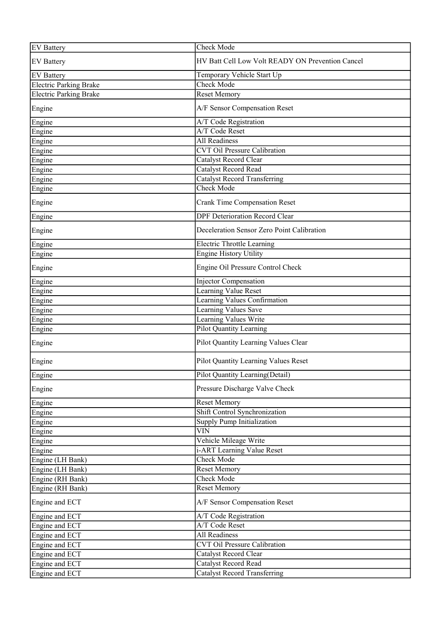| <b>EV Battery</b>             | Check Mode                                       |
|-------------------------------|--------------------------------------------------|
| <b>EV Battery</b>             | HV Batt Cell Low Volt READY ON Prevention Cancel |
| <b>EV</b> Battery             | Temporary Vehicle Start Up                       |
| <b>Electric Parking Brake</b> | Check Mode                                       |
| <b>Electric Parking Brake</b> | <b>Reset Memory</b>                              |
| Engine                        | A/F Sensor Compensation Reset                    |
| Engine                        | A/T Code Registration                            |
| Engine                        | A/T Code Reset                                   |
| Engine                        | <b>All Readiness</b>                             |
| Engine                        | <b>CVT Oil Pressure Calibration</b>              |
| Engine                        | Catalyst Record Clear                            |
| Engine                        | <b>Catalyst Record Read</b>                      |
| Engine                        | Catalyst Record Transferring                     |
| Engine                        | Check Mode                                       |
| Engine                        | <b>Crank Time Compensation Reset</b>             |
| Engine                        | <b>DPF Deterioration Record Clear</b>            |
| Engine                        | Deceleration Sensor Zero Point Calibration       |
| Engine                        | <b>Electric Throttle Learning</b>                |
| Engine                        | <b>Engine History Utility</b>                    |
| Engine                        | Engine Oil Pressure Control Check                |
| Engine                        | <b>Injector Compensation</b>                     |
| Engine                        | Learning Value Reset                             |
| Engine                        | Learning Values Confirmation                     |
| Engine                        | Learning Values Save                             |
| Engine                        | Learning Values Write                            |
| Engine                        | <b>Pilot Quantity Learning</b>                   |
| Engine                        | Pilot Quantity Learning Values Clear             |
| Engine                        | Pilot Quantity Learning Values Reset             |
| Engine                        | Pilot Quantity Learning(Detail)                  |
| Engine                        | Pressure Discharge Valve Check                   |
| Engine                        | <b>Reset Memory</b>                              |
| Engine                        | Shift Control Synchronization                    |
| Engine                        | <b>Supply Pump Initialization</b>                |
| Engine                        | <b>VIN</b>                                       |
| Engine                        | Vehicle Mileage Write                            |
| Engine                        | i-ART Learning Value Reset                       |
| Engine (LH Bank)              | Check Mode                                       |
| Engine (LH Bank)              | <b>Reset Memory</b>                              |
| Engine (RH Bank)              | Check Mode                                       |
| Engine (RH Bank)              | <b>Reset Memory</b>                              |
| Engine and ECT                | A/F Sensor Compensation Reset                    |
| Engine and ECT                | A/T Code Registration                            |
| Engine and ECT                | A/T Code Reset                                   |
| Engine and ECT                | <b>All Readiness</b>                             |
| Engine and ECT                | <b>CVT Oil Pressure Calibration</b>              |
| Engine and ECT                | Catalyst Record Clear                            |
| Engine and ECT                | Catalyst Record Read                             |
| Engine and ECT                | Catalyst Record Transferring                     |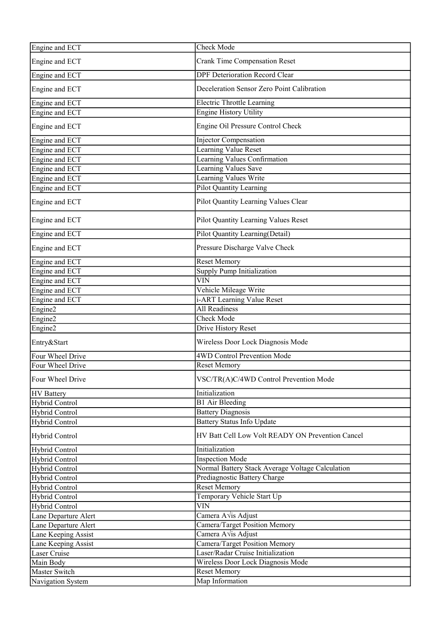| Engine and ECT                     | Check Mode                                       |
|------------------------------------|--------------------------------------------------|
| Engine and ECT                     | <b>Crank Time Compensation Reset</b>             |
| Engine and ECT                     | <b>DPF Deterioration Record Clear</b>            |
| Engine and ECT                     | Deceleration Sensor Zero Point Calibration       |
| Engine and ECT                     | <b>Electric Throttle Learning</b>                |
| Engine and ECT                     | <b>Engine History Utility</b>                    |
| Engine and ECT                     | Engine Oil Pressure Control Check                |
| Engine and ECT                     | Injector Compensation                            |
| Engine and ECT                     | Learning Value Reset                             |
| Engine and ECT                     | Learning Values Confirmation                     |
| Engine and ECT                     | Learning Values Save                             |
| Engine and ECT                     | Learning Values Write                            |
| Engine and ECT                     | Pilot Quantity Learning                          |
| Engine and ECT                     | Pilot Quantity Learning Values Clear             |
| Engine and ECT                     | <b>Pilot Quantity Learning Values Reset</b>      |
| Engine and ECT                     | <b>Pilot Quantity Learning(Detail)</b>           |
| Engine and ECT                     | Pressure Discharge Valve Check                   |
| Engine and ECT                     | Reset Memory                                     |
| Engine and ECT                     | <b>Supply Pump Initialization</b>                |
| Engine and ECT                     | $\overline{\text{VIN}}$                          |
| Engine and ECT                     | Vehicle Mileage Write                            |
| Engine and ECT                     | i-ART Learning Value Reset                       |
| Engine2                            | <b>All Readiness</b>                             |
| Engine2                            | <b>Check Mode</b>                                |
| Engine2                            | Drive History Reset                              |
| Entry&Start                        | Wireless Door Lock Diagnosis Mode                |
| Four Wheel Drive                   | <b>4WD Control Prevention Mode</b>               |
| Four Wheel Drive                   | <b>Reset Memory</b>                              |
| Four Wheel Drive                   | VSC/TR(A)C/4WD Control Prevention Mode           |
| <b>HV</b> Battery                  | Initialization                                   |
| Hybrid Control                     | <b>B1</b> Air Bleeding                           |
| Hybrid Control                     | <b>Battery Diagnosis</b>                         |
| <b>Hybrid Control</b>              | <b>Battery Status Info Update</b>                |
| Hybrid Control                     | HV Batt Cell Low Volt READY ON Prevention Cancel |
| Hybrid Control                     | Initialization                                   |
| Hybrid Control                     | <b>Inspection Mode</b>                           |
| Hybrid Control                     | Normal Battery Stack Average Voltage Calculation |
| Hybrid Control                     | Prediagnostic Battery Charge                     |
| Hybrid Control                     | Reset Memory                                     |
| <b>Hybrid Control</b>              | Temporary Vehicle Start Up                       |
| Hybrid Control                     | <b>VIN</b>                                       |
| Lane Departure Alert               | Camera A√is Adjust                               |
| Lane Departure Alert               | Camera/Target Position Memory                    |
| Lane Keeping Assist                | Camera A√is Adjust                               |
| Lane Keeping Assist                |                                                  |
|                                    | Camera/Target Position Memory                    |
| Laser Cruise                       | Laser/Radar Cruise Initialization                |
| Main Body                          | Wireless Door Lock Diagnosis Mode                |
| Master Switch<br>Navigation System | <b>Reset Memory</b><br>Map Information           |